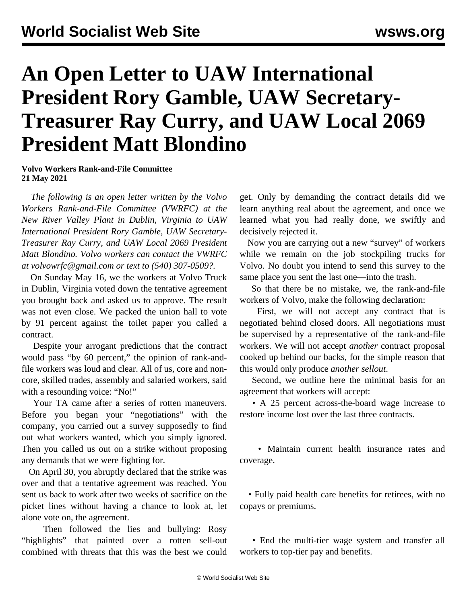## **An Open Letter to UAW International President Rory Gamble, UAW Secretary-Treasurer Ray Curry, and UAW Local 2069 President Matt Blondino**

**Volvo Workers Rank-and-File Committee 21 May 2021**

 *The following is an open letter written by the Volvo Workers Rank-and-File Committee (VWRFC) at the New River Valley Plant in Dublin, Virginia to UAW International President Rory Gamble, UAW Secretary-Treasurer Ray Curry, and UAW Local 2069 President Matt Blondino. Volvo workers can contact the VWRFC at [volvowrfc@gmail.com](mailto:volvowrfc@gmail.com) or text to (540) 307-0509?.*

 On Sunday May 16, we the workers at Volvo Truck in Dublin, Virginia voted down the tentative agreement you brought back and asked us to approve. The result was not even close. We packed the union hall to vote by 91 percent against the toilet paper you called a contract.

 Despite your arrogant predictions that the contract would pass "by 60 percent," the opinion of rank-andfile workers was loud and clear. All of us, core and noncore, skilled trades, assembly and salaried workers, said with a resounding voice: "No!"

 Your TA came after a series of rotten maneuvers. Before you began your "negotiations" with the company, you carried out a survey supposedly to find out what workers wanted, which you simply ignored. Then you called us out on a strike without proposing any demands that we were fighting for.

 On April 30, you abruptly declared that the strike was over and that a tentative agreement was reached. You sent us back to work after two weeks of sacrifice on the picket lines without having a chance to look at, let alone vote on, the agreement.

 Then followed the lies and bullying: Rosy "highlights" that painted over a rotten sell-out combined with threats that this was the best we could get. Only by demanding the contract details did we learn anything real about the agreement, and once we learned what you had really done, we swiftly and decisively rejected it.

 Now you are carrying out a new "survey" of workers while we remain on the job stockpiling trucks for Volvo. No doubt you intend to send this survey to the same place you sent the last one—into the trash.

 So that there be no mistake, we, the rank-and-file workers of Volvo, make the following declaration:

 First, we will not accept any contract that is negotiated behind closed doors. All negotiations must be supervised by a representative of the rank-and-file workers. We will not accept *another* contract proposal cooked up behind our backs, for the simple reason that this would only produce *another sellout*.

 Second, we outline here the minimal basis for an agreement that workers will accept:

 • A 25 percent across-the-board wage increase to restore income lost over the last three contracts.

 • Maintain current health insurance rates and coverage.

 • Fully paid health care benefits for retirees, with no copays or premiums.

 • End the multi-tier wage system and transfer all workers to top-tier pay and benefits.